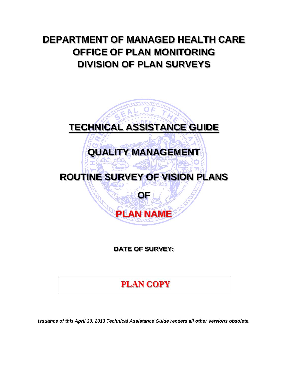## **DEPARTMENT OF MANAGED HEALTH CARE OFFICE OF PLAN MONITORING DIVISION OF PLAN SURVEYS**

# **TECHNICAL ASSISTANCE GUIDE QUALITY MANAGEMENT ROUTINE SURVEY OF VISION PLANS OF PLAN NAME**

**DATE OF SURVEY:** 

**PLAN COPY**

*Issuance of this April 30, 2013 Technical Assistance Guide renders all other versions obsolete.*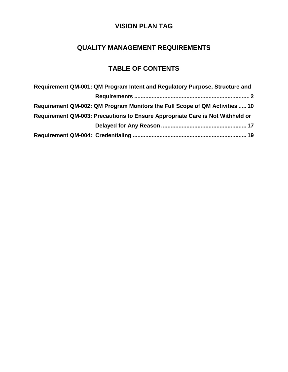## **QUALITY MANAGEMENT REQUIREMENTS**

## **TABLE OF CONTENTS**

| Requirement QM-001: QM Program Intent and Regulatory Purpose, Structure and   |
|-------------------------------------------------------------------------------|
|                                                                               |
| Requirement QM-002: QM Program Monitors the Full Scope of QM Activities  10   |
| Requirement QM-003: Precautions to Ensure Appropriate Care is Not Withheld or |
|                                                                               |
|                                                                               |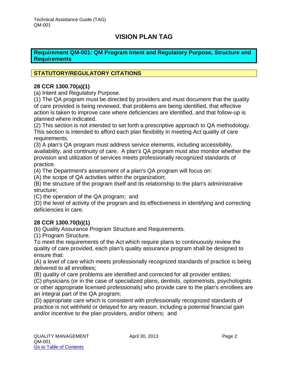#### <span id="page-2-0"></span>**Requirement QM-001: QM Program Intent and Regulatory Purpose, Structure and Requirements**

#### **STATUTORY/REGULATORY CITATIONS**

#### **28 CCR 1300.70(a)(1)**

(a) Intent and Regulatory Purpose.

(1) The QA program must be directed by providers and must document that the quality of care provided is being reviewed, that problems are being identified, that effective action is taken to improve care where deficiencies are identified, and that follow-up is planned where indicated.

(2) This section is not intended to set forth a prescriptive approach to QA methodology. This section is intended to afford each plan flexibility in meeting Act quality of care requirements.

(3) A plan's QA program must address service elements, including accessibility, availability, and continuity of care. A plan's QA program must also monitor whether the provision and utilization of services meets professionally recognized standards of practice.

(4) The Department's assessment of a plan's QA program will focus on:

(A) the scope of QA activities within the organization;

(B) the structure of the program itself and its relationship to the plan's administrative structure;

(C) the operation of the QA program; and

(D) the level of activity of the program and its effectiveness in identifying and correcting deficiencies in care.

#### **28 CCR 1300.70(b)(1)**

(b) Quality Assurance Program Structure and Requirements.

(1) Program Structure.

To meet the requirements of the Act which require plans to continuously review the quality of care provided, each plan's quality assurance program shall be designed to ensure that:

(A) a level of care which meets professionally recognized standards of practice is being delivered to all enrollees;

(B) quality of care problems are identified and corrected for all provider entities;

(C) physicians (or in the case of specialized plans, dentists, optometrists, psychologists or other appropriate licensed professionals) who provide care to the plan's enrollees are an integral part of the QA program;

(D) appropriate care which is consistent with professionally recognized standards of practice is not withheld or delayed for any reason, including a potential financial gain and/or incentive to the plan providers, and/or others; and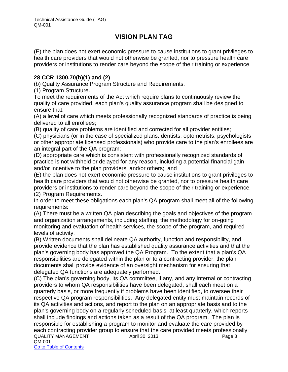(E) the plan does not exert economic pressure to cause institutions to grant privileges to health care providers that would not otherwise be granted, nor to pressure health care providers or institutions to render care beyond the scope of their training or experience.

#### **28 CCR 1300.70(b)(1) and (2)**

(b) Quality Assurance Program Structure and Requirements.

(1) Program Structure.

To meet the requirements of the Act which require plans to continuously review the quality of care provided, each plan's quality assurance program shall be designed to ensure that:

(A) a level of care which meets professionally recognized standards of practice is being delivered to all enrollees;

(B) quality of care problems are identified and corrected for all provider entities;

(C) physicians (or in the case of specialized plans, dentists, optometrists, psychologists or other appropriate licensed professionals) who provide care to the plan's enrollees are an integral part of the QA program;

(D) appropriate care which is consistent with professionally recognized standards of practice is not withheld or delayed for any reason, including a potential financial gain and/or incentive to the plan providers, and/or others; and

(E) the plan does not exert economic pressure to cause institutions to grant privileges to health care providers that would not otherwise be granted, nor to pressure health care providers or institutions to render care beyond the scope of their training or experience. (2) Program Requirements.

In order to meet these obligations each plan's QA program shall meet all of the following requirements:

(A) There must be a written QA plan describing the goals and objectives of the program and organization arrangements, including staffing, the methodology for on-going monitoring and evaluation of health services, the scope of the program, and required levels of activity.

(B) Written documents shall delineate QA authority, function and responsibility, and provide evidence that the plan has established quality assurance activities and that the plan's governing body has approved the QA Program. To the extent that a plan's QA responsibilities are delegated within the plan or to a contracting provider, the plan documents shall provide evidence of an oversight mechanism for ensuring that delegated QA functions are adequately performed.

QUALITY MANAGEMENT April 30, 2013 CUALITY MANAGEMENT QM-001 Go to Table of Contents (C) The plan's governing body, its QA committee, if any, and any internal or contracting providers to whom QA responsibilities have been delegated, shall each meet on a quarterly basis, or more frequently if problems have been identified, to oversee their respective QA program responsibilities. Any delegated entity must maintain records of its QA activities and actions, and report to the plan on an appropriate basis and to the plan's governing body on a regularly scheduled basis, at least quarterly, which reports shall include findings and actions taken as a result of the QA program. The plan is responsible for establishing a program to monitor and evaluate the care provided by each contracting provider group to ensure that the care provided meets professionally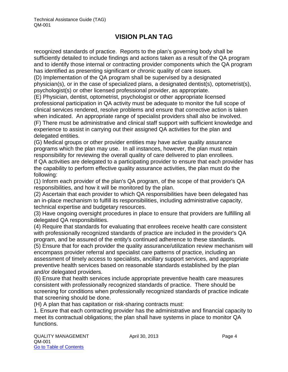recognized standards of practice. Reports to the plan's governing body shall be sufficiently detailed to include findings and actions taken as a result of the QA program and to identify those internal or contracting provider components which the QA program has identified as presenting significant or chronic quality of care issues.

(D) Implementation of the QA program shall be supervised by a designated physician(s), or in the case of specialized plans, a designated dentist(s), optometrist(s), psychologist(s) or other licensed professional provider, as appropriate.

(E) Physician, dentist, optometrist, psychologist or other appropriate licensed professional participation in QA activity must be adequate to monitor the full scope of clinical services rendered, resolve problems and ensure that corrective action is taken when indicated. An appropriate range of specialist providers shall also be involved. (F) There must be administrative and clinical staff support with sufficient knowledge and experience to assist in carrying out their assigned QA activities for the plan and delegated entities.

(G) Medical groups or other provider entities may have active quality assurance programs which the plan may use. In all instances, however, the plan must retain responsibility for reviewing the overall quality of care delivered to plan enrollees.

If QA activities are delegated to a participating provider to ensure that each provider has the capability to perform effective quality assurance activities, the plan must do the following:

(1) Inform each provider of the plan's QA program, of the scope of that provider's QA responsibilities, and how it will be monitored by the plan.

(2) Ascertain that each provider to which QA responsibilities have been delegated has an in-place mechanism to fulfill its responsibilities, including administrative capacity, technical expertise and budgetary resources.

(3) Have ongoing oversight procedures in place to ensure that providers are fulfilling all delegated QA responsibilities.

(4) Require that standards for evaluating that enrollees receive health care consistent with professionally recognized standards of practice are included in the provider's QA program, and be assured of the entity's continued adherence to these standards.

(5) Ensure that for each provider the quality assurance/utilization review mechanism will encompass provider referral and specialist care patterns of practice, including an assessment of timely access to specialists, ancillary support services, and appropriate preventive health services based on reasonable standards established by the plan and/or delegated providers.

(6) Ensure that health services include appropriate preventive health care measures consistent with professionally recognized standards of practice. There should be screening for conditions when professionally recognized standards of practice indicate that screening should be done.

(H) A plan that has capitation or risk-sharing contracts must:

1. Ensure that each contracting provider has the administrative and financial capacity to meet its contractual obligations; the plan shall have systems in place to monitor QA functions.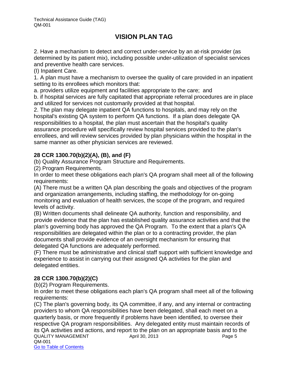2. Have a mechanism to detect and correct under-service by an at-risk provider (as determined by its patient mix), including possible under-utilization of specialist services and preventive health care services.

(I) Inpatient Care.

1. A plan must have a mechanism to oversee the quality of care provided in an inpatient setting to its enrollees which monitors that:

a. providers utilize equipment and facilities appropriate to the care; and

b. if hospital services are fully capitated that appropriate referral procedures are in place and utilized for services not customarily provided at that hospital.

2. The plan may delegate inpatient QA functions to hospitals, and may rely on the hospital's existing QA system to perform QA functions. If a plan does delegate QA responsibilities to a hospital, the plan must ascertain that the hospital's quality assurance procedure will specifically review hospital services provided to the plan's enrollees, and will review services provided by plan physicians within the hospital in the same manner as other physician services are reviewed.

#### **28 CCR 1300.70(b)(2)(A), (B), and (F)**

(b) Quality Assurance Program Structure and Requirements.

(2) Program Requirements.

In order to meet these obligations each plan's QA program shall meet all of the following requirements:

(A) There must be a written QA plan describing the goals and objectives of the program and organization arrangements, including staffing, the methodology for on-going monitoring and evaluation of health services, the scope of the program, and required levels of activity.

(B) Written documents shall delineate QA authority, function and responsibility, and provide evidence that the plan has established quality assurance activities and that the plan's governing body has approved the QA Program. To the extent that a plan's QA responsibilities are delegated within the plan or to a contracting provider, the plan documents shall provide evidence of an oversight mechanism for ensuring that delegated QA functions are adequately performed.

(F) There must be administrative and clinical staff support with sufficient knowledge and experience to assist in carrying out their assigned QA activities for the plan and delegated entities.

#### **28 CCR 1300.70(b)(2)(C)**

(b)(2) Program Requirements.

In order to meet these obligations each plan's QA program shall meet all of the following requirements:

QUALITY MANAGEMENT April 30, 2013 April 30, 2013 QM-001 Go to Table of Contents (C) The plan's governing body, its QA committee, if any, and any internal or contracting providers to whom QA responsibilities have been delegated, shall each meet on a quarterly basis, or more frequently if problems have been identified, to oversee their respective QA program responsibilities. Any delegated entity must maintain records of its QA activities and actions, and report to the plan on an appropriate basis and to the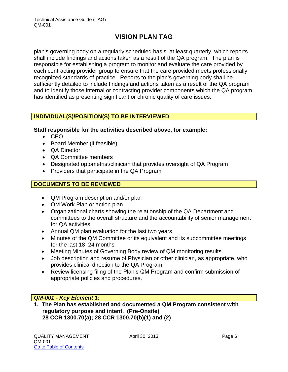plan's governing body on a regularly scheduled basis, at least quarterly, which reports shall include findings and actions taken as a result of the QA program. The plan is responsible for establishing a program to monitor and evaluate the care provided by each contracting provider group to ensure that the care provided meets professionally recognized standards of practice. Reports to the plan's governing body shall be sufficiently detailed to include findings and actions taken as a result of the QA program and to identify those internal or contracting provider components which the QA program has identified as presenting significant or chronic quality of care issues.

#### **INDIVIDUAL(S)/POSITION(S) TO BE INTERVIEWED**

#### **Staff responsible for the activities described above, for example:**

- $\bullet$  CEO
- Board Member (if feasible)
- QA Director
- QA Committee members
- Designated optometrist/clinician that provides oversight of QA Program
- Providers that participate in the QA Program

#### **DOCUMENTS TO BE REVIEWED**

- QM Program description and/or plan
- QM Work Plan or action plan
- Organizational charts showing the relationship of the QA Department and committees to the overall structure and the accountability of senior management for QA activities
- Annual QM plan evaluation for the last two years
- Minutes of the QM Committee or its equivalent and its subcommittee meetings for the last 18–24 months
- Meeting Minutes of Governing Body review of QM monitoring results.
- Job description and resume of Physician or other clinician, as appropriate, who provides clinical direction to the QA Program
- Review licensing filing of the Plan's QM Program and confirm submission of appropriate policies and procedures.

#### *QM-001 - Key Element 1:*

**1. The Plan has established and documented a QM Program consistent with regulatory purpose and intent. (Pre-Onsite) 28 CCR 1300.70(a); 28 CCR 1300.70(b)(1) and (2)**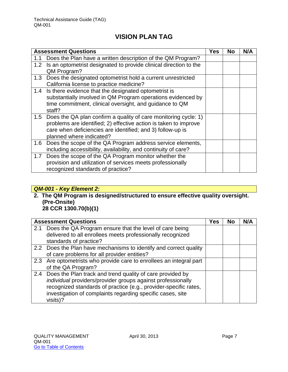|     | <b>Assessment Questions</b>                                                                                                                                                                                                   | Yes | <b>No</b> | N/A |
|-----|-------------------------------------------------------------------------------------------------------------------------------------------------------------------------------------------------------------------------------|-----|-----------|-----|
| 1.1 | Does the Plan have a written description of the QM Program?                                                                                                                                                                   |     |           |     |
|     | 1.2 Is an optometrist designated to provide clinical direction to the<br>QM Program?                                                                                                                                          |     |           |     |
| 1.3 | Does the designated optometrist hold a current unrestricted<br>California license to practice medicine?                                                                                                                       |     |           |     |
| 1.4 | Is there evidence that the designated optometrist is<br>substantially involved in QM Program operations evidenced by<br>time commitment, clinical oversight, and guidance to QM<br>staff?                                     |     |           |     |
| 1.5 | Does the QA plan confirm a quality of care monitoring cycle: 1)<br>problems are identified; 2) effective action is taken to improve<br>care when deficiencies are identified; and 3) follow-up is<br>planned where indicated? |     |           |     |
| 1.6 | Does the scope of the QA Program address service elements,<br>including accessibility, availability, and continuity of care?                                                                                                  |     |           |     |
| 1.7 | Does the scope of the QA Program monitor whether the<br>provision and utilization of services meets professionally<br>recognized standards of practice?                                                                       |     |           |     |

#### *QM-001 - Key Element 2:*

## **2. The QM Program is designed/structured to ensure effective quality oversight. (Pre-Onsite)**

**28 CCR 1300.70(b)(1)**

|               | <b>Assessment Questions</b>                                         | Yes | No | N/A |
|---------------|---------------------------------------------------------------------|-----|----|-----|
| 2.1           | Does the QA Program ensure that the level of care being             |     |    |     |
|               | delivered to all enrollees meets professionally recognized          |     |    |     |
|               | standards of practice?                                              |     |    |     |
|               | 2.2 Does the Plan have mechanisms to identify and correct quality   |     |    |     |
|               | of care problems for all provider entities?                         |     |    |     |
|               | 2.3 Are optometrists who provide care to enrollees an integral part |     |    |     |
|               | of the QA Program?                                                  |     |    |     |
| $2.4^{\circ}$ | Does the Plan track and trend quality of care provided by           |     |    |     |
|               | individual providers/provider groups against professionally         |     |    |     |
|               | recognized standards of practice (e.g., provider-specific rates,    |     |    |     |
|               | investigation of complaints regarding specific cases, site          |     |    |     |
|               | visits)?                                                            |     |    |     |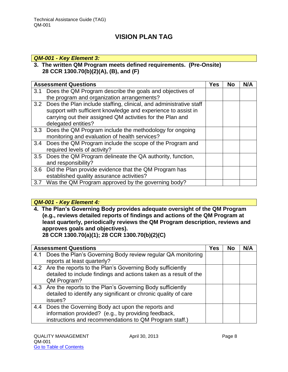#### *QM-001 - Key Element 3:*

#### **3. The written QM Program meets defined requirements. (Pre-Onsite) 28 CCR 1300.70(b)(2)(A), (B), and (F)**

|     | <b>Assessment Questions</b>                                            | <b>Yes</b> | <b>No</b> | N/A |
|-----|------------------------------------------------------------------------|------------|-----------|-----|
| 3.1 | Does the QM Program describe the goals and objectives of               |            |           |     |
|     | the program and organization arrangements?                             |            |           |     |
|     | 3.2 Does the Plan include staffing, clinical, and administrative staff |            |           |     |
|     | support with sufficient knowledge and experience to assist in          |            |           |     |
|     | carrying out their assigned QM activities for the Plan and             |            |           |     |
|     | delegated entities?                                                    |            |           |     |
|     | 3.3 Does the QM Program include the methodology for ongoing            |            |           |     |
|     | monitoring and evaluation of health services?                          |            |           |     |
| 3.4 | Does the QM Program include the scope of the Program and               |            |           |     |
|     | required levels of activity?                                           |            |           |     |
|     | 3.5 Does the QM Program delineate the QA authority, function,          |            |           |     |
|     | and responsibility?                                                    |            |           |     |
|     | 3.6 Did the Plan provide evidence that the QM Program has              |            |           |     |
|     | established quality assurance activities?                              |            |           |     |
|     | 3.7 Was the QM Program approved by the governing body?                 |            |           |     |

#### *QM-001 - Key Element 4:*

**4. The Plan's Governing Body provides adequate oversight of the QM Program (e.g., reviews detailed reports of findings and actions of the QM Program at least quarterly, periodically reviews the QM Program description, reviews and approves goals and objectives).** 

**28 CCR 1300.70(a)(1); 28 CCR 1300.70(b)(2)(C)**

|     | <b>Assessment Questions</b>                                       | <b>Yes</b> | <b>No</b> | N/A |
|-----|-------------------------------------------------------------------|------------|-----------|-----|
| 4.1 | Does the Plan's Governing Body review regular QA monitoring       |            |           |     |
|     | reports at least quarterly?                                       |            |           |     |
|     | 4.2 Are the reports to the Plan's Governing Body sufficiently     |            |           |     |
|     | detailed to include findings and actions taken as a result of the |            |           |     |
|     | QM Program?                                                       |            |           |     |
|     | 4.3 Are the reports to the Plan's Governing Body sufficiently     |            |           |     |
|     | detailed to identify any significant or chronic quality of care   |            |           |     |
|     | issues?                                                           |            |           |     |
| 4.4 | Does the Governing Body act upon the reports and                  |            |           |     |
|     | information provided? (e.g., by providing feedback,               |            |           |     |
|     | instructions and recommendations to QM Program staff.)            |            |           |     |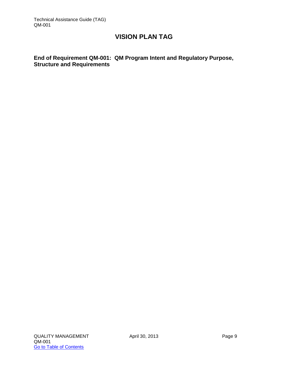#### **End of Requirement QM-001: QM Program Intent and Regulatory Purpose, Structure and Requirements**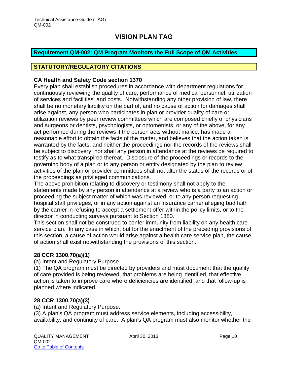#### <span id="page-10-0"></span>**Requirement QM-002: QM Program Monitors the Full Scope of QM Activities**

#### **STATUTORY/REGULATORY CITATIONS**

#### **CA Health and Safety Code section 1370**

Every plan shall establish procedures in accordance with department regulations for continuously reviewing the quality of care, performance of medical personnel, utilization of services and facilities, and costs. Notwithstanding any other provision of law, there shall be no monetary liability on the part of, and no cause of action for damages shall arise against, any person who participates in plan or provider quality of care or utilization reviews by peer review committees which are composed chiefly of physicians and surgeons or dentists, psychologists, or optometrists, or any of the above, for any act performed during the reviews if the person acts without malice, has made a reasonable effort to obtain the facts of the matter, and believes that the action taken is warranted by the facts, and neither the proceedings nor the records of the reviews shall be subject to discovery, nor shall any person in attendance at the reviews be required to testify as to what transpired thereat. Disclosure of the proceedings or records to the governing body of a plan or to any person or entity designated by the plan to review activities of the plan or provider committees shall not alter the status of the records or of the proceedings as privileged communications.

The above prohibition relating to discovery or testimony shall not apply to the statements made by any person in attendance at a review who is a party to an action or proceeding the subject matter of which was reviewed, or to any person requesting hospital staff privileges, or in any action against an insurance carrier alleging bad faith by the carrier in refusing to accept a settlement offer within the policy limits, or to the director in conducting surveys pursuant to Section 1380.

This section shall not be construed to confer immunity from liability on any health care service plan. In any case in which, but for the enactment of the preceding provisions of this section, a cause of action would arise against a health care service plan, the cause of action shall exist notwithstanding the provisions of this section.

#### **28 CCR 1300.70(a)(1)**

(a) Intent and Regulatory Purpose.

(1) The QA program must be directed by providers and must document that the quality of care provided is being reviewed, that problems are being identified, that effective action is taken to improve care where deficiencies are identified, and that follow-up is planned where indicated.

#### **28 CCR 1300.70(a)(3)**

(a) Intent and Regulatory Purpose.

(3) A plan's QA program must address service elements, including accessibility, availability, and continuity of care. A plan's QA program must also monitor whether the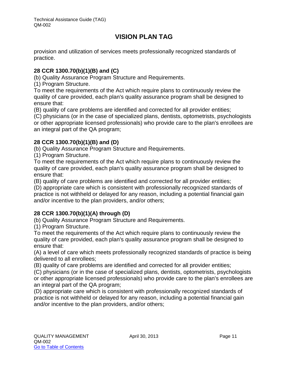provision and utilization of services meets professionally recognized standards of practice.

#### **28 CCR 1300.70(b)(1)(B) and (C)**

(b) Quality Assurance Program Structure and Requirements.

(1) Program Structure.

To meet the requirements of the Act which require plans to continuously review the quality of care provided, each plan's quality assurance program shall be designed to ensure that:

(B) quality of care problems are identified and corrected for all provider entities;

(C) physicians (or in the case of specialized plans, dentists, optometrists, psychologists or other appropriate licensed professionals) who provide care to the plan's enrollees are an integral part of the QA program;

#### **28 CCR 1300.70(b)(1)(B) and (D)**

(b) Quality Assurance Program Structure and Requirements.

(1) Program Structure.

To meet the requirements of the Act which require plans to continuously review the quality of care provided, each plan's quality assurance program shall be designed to ensure that:

(B) quality of care problems are identified and corrected for all provider entities;

(D) appropriate care which is consistent with professionally recognized standards of practice is not withheld or delayed for any reason, including a potential financial gain and/or incentive to the plan providers, and/or others;

#### **28 CCR 1300.70(b)(1)(A) through (D)**

(b) Quality Assurance Program Structure and Requirements.

(1) Program Structure.

To meet the requirements of the Act which require plans to continuously review the quality of care provided, each plan's quality assurance program shall be designed to ensure that:

(A) a level of care which meets professionally recognized standards of practice is being delivered to all enrollees;

(B) quality of care problems are identified and corrected for all provider entities;

(C) physicians (or in the case of specialized plans, dentists, optometrists, psychologists or other appropriate licensed professionals) who provide care to the plan's enrollees are an integral part of the QA program;

(D) appropriate care which is consistent with professionally recognized standards of practice is not withheld or delayed for any reason, including a potential financial gain and/or incentive to the plan providers, and/or others;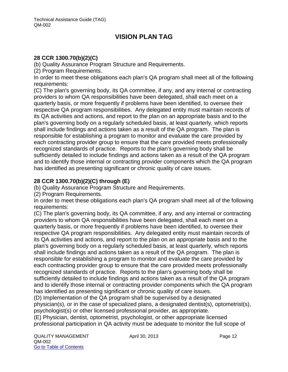#### **28 CCR 1300.70(b)(2)(C)**

(b) Quality Assurance Program Structure and Requirements.

(2) Program Requirements.

In order to meet these obligations each plan's QA program shall meet all of the following requirements:

(C) The plan's governing body, its QA committee, if any, and any internal or contracting providers to whom QA responsibilities have been delegated, shall each meet on a quarterly basis, or more frequently if problems have been identified, to oversee their respective QA program responsibilities. Any delegated entity must maintain records of its QA activities and actions, and report to the plan on an appropriate basis and to the plan's governing body on a regularly scheduled basis, at least quarterly, which reports shall include findings and actions taken as a result of the QA program. The plan is responsible for establishing a program to monitor and evaluate the care provided by each contracting provider group to ensure that the care provided meets professionally recognized standards of practice. Reports to the plan's governing body shall be sufficiently detailed to include findings and actions taken as a result of the QA program and to identify those internal or contracting provider components which the QA program has identified as presenting significant or chronic quality of care issues.

#### **28 CCR 1300.70(b)(2)(C) through (E)**

(b) Quality Assurance Program Structure and Requirements.

(2) Program Requirements.

In order to meet these obligations each plan's QA program shall meet all of the following requirements:

(C) The plan's governing body, its QA committee, if any, and any internal or contracting providers to whom QA responsibilities have been delegated, shall each meet on a quarterly basis, or more frequently if problems have been identified, to oversee their respective QA program responsibilities. Any delegated entity must maintain records of its QA activities and actions, and report to the plan on an appropriate basis and to the plan's governing body on a regularly scheduled basis, at least quarterly, which reports shall include findings and actions taken as a result of the QA program. The plan is responsible for establishing a program to monitor and evaluate the care provided by each contracting provider group to ensure that the care provided meets professionally recognized standards of practice. Reports to the plan's governing body shall be sufficiently detailed to include findings and actions taken as a result of the QA program and to identify those internal or contracting provider components which the QA program has identified as presenting significant or chronic quality of care issues.

(D) Implementation of the QA program shall be supervised by a designated physician(s), or in the case of specialized plans, a designated dentist(s), optometrist(s), psychologist(s) or other licensed professional provider, as appropriate.

(E) Physician, dentist, optometrist, psychologist, or other appropriate licensed professional participation in QA activity must be adequate to monitor the full scope of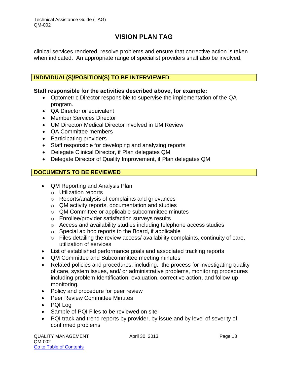clinical services rendered, resolve problems and ensure that corrective action is taken when indicated. An appropriate range of specialist providers shall also be involved.

#### **INDIVIDUAL(S)/POSITION(S) TO BE INTERVIEWED**

#### **Staff responsible for the activities described above, for example:**

- Optometric Director responsible to supervise the implementation of the QA program.
- QA Director or equivalent
- Member Services Director
- UM Director/ Medical Director involved in UM Review
- QA Committee members
- Participating providers
- Staff responsible for developing and analyzing reports
- Delegate Clinical Director, if Plan delegates QM
- Delegate Director of Quality Improvement, if Plan delegates QM

#### **DOCUMENTS TO BE REVIEWED**

- QM Reporting and Analysis Plan
	- o Utilization reports
	- o Reports/analysis of complaints and grievances
	- o QM activity reports, documentation and studies
	- o QM Committee or applicable subcommittee minutes
	- o Enrollee/provider satisfaction surveys results
	- o Access and availability studies including telephone access studies
	- o Special ad hoc reports to the Board, if applicable
	- o Files detailing the review access/ availability complaints, continuity of care, utilization of services
- List of established performance goals and associated tracking reports
- QM Committee and Subcommittee meeting minutes
- Related policies and procedures, including: the process for investigating quality of care, system issues, and/ or administrative problems, monitoring procedures including problem Identification, evaluation, corrective action, and follow-up monitoring.
- Policy and procedure for peer review
- **•** Peer Review Committee Minutes
- PQI Log
- Sample of PQI Files to be reviewed on site
- PQI track and trend reports by provider, by issue and by level of severity of confirmed problems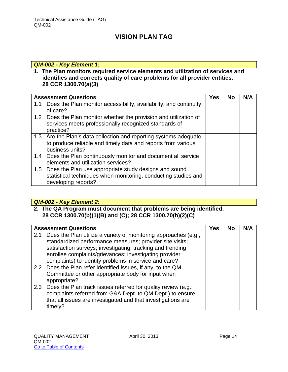#### *QM-002 - Key Element 1:*

#### **1. The Plan monitors required service elements and utilization of services and identifies and corrects quality of care problems for all provider entities. 28 CCR 1300.70(a)(3)**

|     | <b>Assessment Questions</b>                                                                                                                          |  | <b>No</b> | N/A |
|-----|------------------------------------------------------------------------------------------------------------------------------------------------------|--|-----------|-----|
| 1.1 | Does the Plan monitor accessibility, availability, and continuity<br>of care?                                                                        |  |           |     |
|     | 1.2 Does the Plan monitor whether the provision and utilization of<br>services meets professionally recognized standards of<br>practice?             |  |           |     |
|     | 1.3 Are the Plan's data collection and reporting systems adequate<br>to produce reliable and timely data and reports from various<br>business units? |  |           |     |
|     | 1.4 Does the Plan continuously monitor and document all service<br>elements and utilization services?                                                |  |           |     |
|     | 1.5 Does the Plan use appropriate study designs and sound<br>statistical techniques when monitoring, conducting studies and<br>developing reports?   |  |           |     |

#### *QM-002 - Key Element 2:*

#### **2. The QA Program must document that problems are being identified. 28 CCR 1300.70(b)(1)(B) and (C); 28 CCR 1300.70(b)(2)(C)**

|     | <b>Assessment Questions</b>                                                                                                                                                                                                                                                                                  | Yes | <b>No</b> | N/A |
|-----|--------------------------------------------------------------------------------------------------------------------------------------------------------------------------------------------------------------------------------------------------------------------------------------------------------------|-----|-----------|-----|
| 2.1 | Does the Plan utilize a variety of monitoring approaches (e.g.,<br>standardized performance measures; provider site visits;<br>satisfaction surveys; investigating, tracking and trending<br>enrollee complaints/grievances; investigating provider<br>complaints) to identify problems in service and care? |     |           |     |
|     | 2.2 Does the Plan refer identified issues, if any, to the QM<br>Committee or other appropriate body for input when<br>appropriate?                                                                                                                                                                           |     |           |     |
|     | 2.3 Does the Plan track issues referred for quality review (e.g.,<br>complaints referred from G&A Dept. to QM Dept.) to ensure<br>that all issues are investigated and that investigations are<br>timely?                                                                                                    |     |           |     |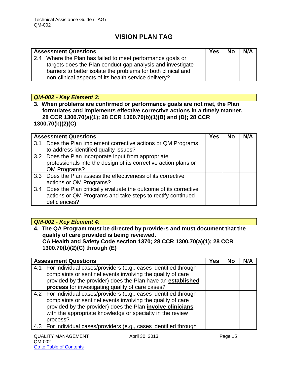|     | <b>Assessment Questions</b>                                   | <b>Yes</b> | <b>No</b> | N/A |
|-----|---------------------------------------------------------------|------------|-----------|-----|
| 2.4 | Where the Plan has failed to meet performance goals or        |            |           |     |
|     | targets does the Plan conduct gap analysis and investigate    |            |           |     |
|     | barriers to better isolate the problems for both clinical and |            |           |     |
|     | non-clinical aspects of its health service delivery?          |            |           |     |

#### *QM-002 - Key Element 3:*

**3. When problems are confirmed or performance goals are not met, the Plan formulates and implements effective corrective actions in a timely manner. 28 CCR 1300.70(a)(1); 28 CCR 1300.70(b)(1)(B) and (D); 28 CCR 1300.70(b)(2)(C)**

|               | <b>Assessment Questions</b>                                     | Yes | <b>No</b> | N/A |
|---------------|-----------------------------------------------------------------|-----|-----------|-----|
| 3.1           | Does the Plan implement corrective actions or QM Programs       |     |           |     |
|               | to address identified quality issues?                           |     |           |     |
|               | 3.2 Does the Plan incorporate input from appropriate            |     |           |     |
|               | professionals into the design of its corrective action plans or |     |           |     |
|               | QM Programs?                                                    |     |           |     |
|               | 3.3 Does the Plan assess the effectiveness of its corrective    |     |           |     |
|               | actions or QM Programs?                                         |     |           |     |
| $3.4^{\circ}$ | Does the Plan critically evaluate the outcome of its corrective |     |           |     |
|               | actions or QM Programs and take steps to rectify continued      |     |           |     |
|               | deficiencies?                                                   |     |           |     |

#### *QM-002 - Key Element 4:*

**4. The QA Program must be directed by providers and must document that the quality of care provided is being reviewed. CA Health and Safety Code section 1370; 28 CCR 1300.70(a)(1); 28 CCR 1300.70(b)(2)(C) through (E)**

|     | <b>Assessment Questions</b>                                        | Yes | No | N/A |
|-----|--------------------------------------------------------------------|-----|----|-----|
| 4.1 | For individual cases/providers (e.g., cases identified through     |     |    |     |
|     | complaints or sentinel events involving the quality of care        |     |    |     |
|     | provided by the provider) does the Plan have an <b>established</b> |     |    |     |
|     | process for investigating quality of care cases?                   |     |    |     |
|     | 4.2 For individual cases/providers (e.g., cases identified through |     |    |     |
|     | complaints or sentinel events involving the quality of care        |     |    |     |
|     | provided by the provider) does the Plan <i>involve clinicians</i>  |     |    |     |
|     | with the appropriate knowledge or specialty in the review          |     |    |     |
|     | process?                                                           |     |    |     |
|     | 4.3 For individual cases/providers (e.g., cases identified through |     |    |     |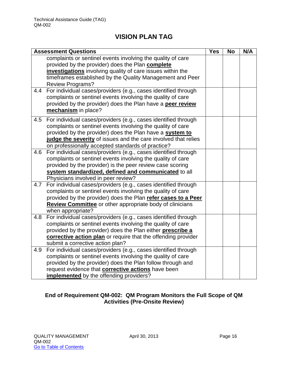|     | <b>Assessment Questions</b>                                                          | <b>Yes</b> | <b>No</b> | N/A |
|-----|--------------------------------------------------------------------------------------|------------|-----------|-----|
|     | complaints or sentinel events involving the quality of care                          |            |           |     |
|     | provided by the provider) does the Plan complete                                     |            |           |     |
|     | investigations involving quality of care issues within the                           |            |           |     |
|     | timeframes established by the Quality Management and Peer                            |            |           |     |
|     | <b>Review Programs?</b>                                                              |            |           |     |
| 4.4 | For individual cases/providers (e.g., cases identified through                       |            |           |     |
|     | complaints or sentinel events involving the quality of care                          |            |           |     |
|     | provided by the provider) does the Plan have a peer review                           |            |           |     |
|     | mechanism in place?                                                                  |            |           |     |
| 4.5 | For individual cases/providers (e.g., cases identified through                       |            |           |     |
|     | complaints or sentinel events involving the quality of care                          |            |           |     |
|     | provided by the provider) does the Plan have a system to                             |            |           |     |
|     | judge the severity of issues and the care involved that relies                       |            |           |     |
|     | on professionally accepted standards of practice?                                    |            |           |     |
| 4.6 | For individual cases/providers (e.g., cases identified through                       |            |           |     |
|     | complaints or sentinel events involving the quality of care                          |            |           |     |
|     | provided by the provider) is the peer review case scoring                            |            |           |     |
|     | system standardized, defined and communicated to all                                 |            |           |     |
|     | Physicians involved in peer review?                                                  |            |           |     |
| 4.7 | For individual cases/providers (e.g., cases identified through                       |            |           |     |
|     | complaints or sentinel events involving the quality of care                          |            |           |     |
|     | provided by the provider) does the Plan refer cases to a Peer                        |            |           |     |
|     | <b>Review Committee</b> or other appropriate body of clinicians<br>when appropriate? |            |           |     |
| 4.8 | For individual cases/providers (e.g., cases identified through                       |            |           |     |
|     | complaints or sentinel events involving the quality of care                          |            |           |     |
|     | provided by the provider) does the Plan either <b>prescribe a</b>                    |            |           |     |
|     | corrective action plan or require that the offending provider                        |            |           |     |
|     | submit a corrective action plan?                                                     |            |           |     |
| 4.9 | For individual cases/providers (e.g., cases identified through                       |            |           |     |
|     | complaints or sentinel events involving the quality of care                          |            |           |     |
|     | provided by the provider) does the Plan follow through and                           |            |           |     |
|     | request evidence that <b>corrective actions</b> have been                            |            |           |     |
|     | implemented by the offending providers?                                              |            |           |     |

#### **End of Requirement QM-002: QM Program Monitors the Full Scope of QM Activities (Pre-Onsite Review)**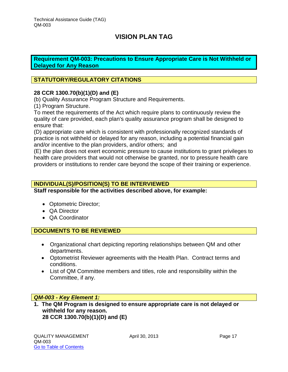#### <span id="page-17-0"></span>**Requirement QM-003: Precautions to Ensure Appropriate Care is Not Withheld or Delayed for Any Reason**

#### **STATUTORY/REGULATORY CITATIONS**

#### **28 CCR 1300.70(b)(1)(D) and (E)**

(b) Quality Assurance Program Structure and Requirements.

(1) Program Structure.

To meet the requirements of the Act which require plans to continuously review the quality of care provided, each plan's quality assurance program shall be designed to ensure that:

(D) appropriate care which is consistent with professionally recognized standards of practice is not withheld or delayed for any reason, including a potential financial gain and/or incentive to the plan providers, and/or others; and

(E) the plan does not exert economic pressure to cause institutions to grant privileges to health care providers that would not otherwise be granted, nor to pressure health care providers or institutions to render care beyond the scope of their training or experience.

#### **INDIVIDUAL(S)/POSITION(S) TO BE INTERVIEWED**

**Staff responsible for the activities described above, for example:**

- Optometric Director;
- **QA Director**
- QA Coordinator

#### **DOCUMENTS TO BE REVIEWED**

- Organizational chart depicting reporting relationships between QM and other departments.
- Optometrist Reviewer agreements with the Health Plan. Contract terms and conditions.
- List of QM Committee members and titles, role and responsibility within the Committee, if any.

#### *QM-003 - Key Element 1:*

**1. The QM Program is designed to ensure appropriate care is not delayed or withheld for any reason. 28 CCR 1300.70(b)(1)(D) and (E)**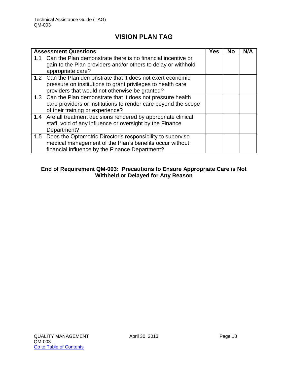|     | <b>Assessment Questions</b>                                                                                                                                                   | <b>Yes</b> | <b>No</b> | N/A |
|-----|-------------------------------------------------------------------------------------------------------------------------------------------------------------------------------|------------|-----------|-----|
| 1.1 | Can the Plan demonstrate there is no financial incentive or<br>gain to the Plan providers and/or others to delay or withhold<br>appropriate care?                             |            |           |     |
|     | 1.2 Can the Plan demonstrate that it does not exert economic<br>pressure on institutions to grant privileges to health care<br>providers that would not otherwise be granted? |            |           |     |
|     | 1.3 Can the Plan demonstrate that it does not pressure health<br>care providers or institutions to render care beyond the scope<br>of their training or experience?           |            |           |     |
|     | 1.4 Are all treatment decisions rendered by appropriate clinical<br>staff, void of any influence or oversight by the Finance<br>Department?                                   |            |           |     |
|     | 1.5 Does the Optometric Director's responsibility to supervise<br>medical management of the Plan's benefits occur without<br>financial influence by the Finance Department?   |            |           |     |

#### **End of Requirement QM-003: Precautions to Ensure Appropriate Care is Not Withheld or Delayed for Any Reason**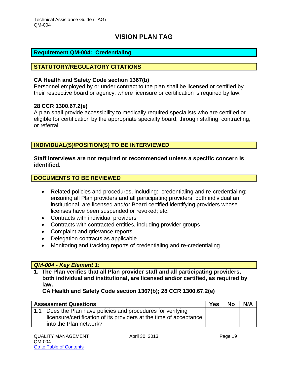#### <span id="page-19-0"></span>**Requirement QM-004: Credentialing**

#### **STATUTORY/REGULATORY CITATIONS**

#### **CA Health and Safety Code section 1367(b)**

Personnel employed by or under contract to the plan shall be licensed or certified by their respective board or agency, where licensure or certification is required by law.

#### **28 CCR 1300.67.2(e)**

A plan shall provide accessibility to medically required specialists who are certified or eligible for certification by the appropriate specialty board, through staffing, contracting, or referral.

#### **INDIVIDUAL(S)/POSITION(S) TO BE INTERVIEWED**

#### **Staff interviews are not required or recommended unless a specific concern is identified.**

#### **DOCUMENTS TO BE REVIEWED**

- Related policies and procedures, including: credentialing and re-credentialing; ensuring all Plan providers and all participating providers, both individual an institutional, are licensed and/or Board certified identifying providers whose licenses have been suspended or revoked; etc.
- Contracts with individual providers
- Contracts with contracted entities, including provider groups
- Complaint and grievance reports
- Delegation contracts as applicable
- Monitoring and tracking reports of credentialing and re-credentialing

#### *QM-004 - Key Element 1:*

**1. The Plan verifies that all Plan provider staff and all participating providers, both individual and institutional, are licensed and/or certified, as required by law.** 

**CA Health and Safety Code section 1367(b); 28 CCR 1300.67.2(e)**

| <b>Assessment Questions</b> |                                                                    | <b>Yes</b> | <b>No</b> | N/A |
|-----------------------------|--------------------------------------------------------------------|------------|-----------|-----|
|                             | Does the Plan have policies and procedures for verifying           |            |           |     |
|                             | licensure/certification of its providers at the time of acceptance |            |           |     |
|                             | into the Plan network?                                             |            |           |     |